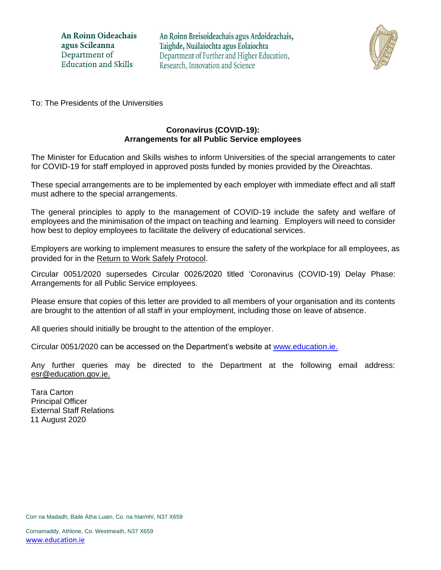An Roinn Oideachais agus Scileanna Department of **Education and Skills** 

An Roinn Breisoideachais agus Ardoideachais, Taighde, Nuálaíochta agus Eolaíochta Department of Further and Higher Education, Research, Innovation and Science



To: The Presidents of the Universities

### **Coronavirus (COVID-19): Arrangements for all Public Service employees**

The Minister for Education and Skills wishes to inform Universities of the special arrangements to cater for COVID-19 for staff employed in approved posts funded by monies provided by the Oireachtas.

These special arrangements are to be implemented by each employer with immediate effect and all staff must adhere to the special arrangements.

The general principles to apply to the management of COVID-19 include the safety and welfare of employees and the minimisation of the impact on teaching and learning. Employers will need to consider how best to deploy employees to facilitate the delivery of educational services.

Employers are working to implement measures to ensure the safety of the workplace for all employees, as provided for in the [Return to Work Safely Protocol.](https://www.gov.ie/en/publication/22829a-return-to-work-safely-protocol/)

Circular 0051/2020 supersedes Circular 0026/2020 titled 'Coronavirus (COVID-19) Delay Phase: Arrangements for all Public Service employees.

Please ensure that copies of this letter are provided to all members of your organisation and its contents are brought to the attention of all staff in your employment, including those on leave of absence.

All queries should initially be brought to the attention of the employer.

Circular 0051/2020 can be accessed on the Department's website at [www.education.ie.](http://www.education.ie/)

Any further queries may be directed to the Department at the following email address: [esr@education.gov.ie.](mailto:teachersna@education.gov.ie)

Tara Carton Principal Officer External Staff Relations 11 August 2020

Corr na Madadh, Baile Átha Luain, Co. na hIarmhí, N37 X659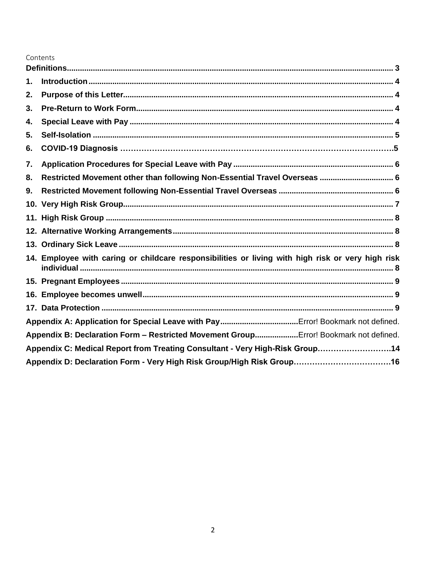### Contents

| 1. |                                                                                                   |
|----|---------------------------------------------------------------------------------------------------|
| 2. |                                                                                                   |
| 3. |                                                                                                   |
| 4. |                                                                                                   |
| 5. |                                                                                                   |
| 6. |                                                                                                   |
| 7. |                                                                                                   |
| 8. | Restricted Movement other than following Non-Essential Travel Overseas  6                         |
| 9. |                                                                                                   |
|    |                                                                                                   |
|    |                                                                                                   |
|    |                                                                                                   |
|    |                                                                                                   |
|    | 14. Employee with caring or childcare responsibilities or living with high risk or very high risk |
|    |                                                                                                   |
|    |                                                                                                   |
|    |                                                                                                   |
|    |                                                                                                   |
|    | Appendix B: Declaration Form - Restricted Movement GroupError! Bookmark not defined.              |
|    | Appendix C: Medical Report from Treating Consultant - Very High-Risk Group14                      |
|    |                                                                                                   |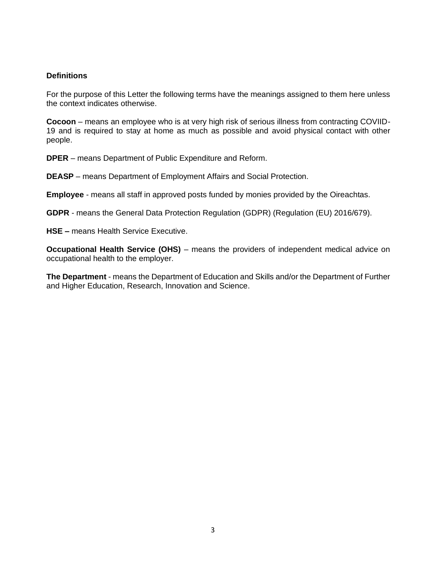#### <span id="page-2-0"></span>**Definitions**

For the purpose of this Letter the following terms have the meanings assigned to them here unless the context indicates otherwise.

**Cocoon** – means an employee who is at very high risk of serious illness from contracting COVIID-19 and is required to stay at home as much as possible and avoid physical contact with other people.

**DPER** – means Department of Public Expenditure and Reform.

**DEASP** – means Department of Employment Affairs and Social Protection.

**Employee** - means all staff in approved posts funded by monies provided by the Oireachtas.

**GDPR** - means the General Data Protection Regulation (GDPR) (Regulation (EU) 2016/679).

**HSE –** means Health Service Executive.

**Occupational Health Service (OHS)** – means the providers of independent medical advice on occupational health to the employer.

**The Department** - means the Department of Education and Skills and/or the Department of Further and Higher Education, Research, Innovation and Science.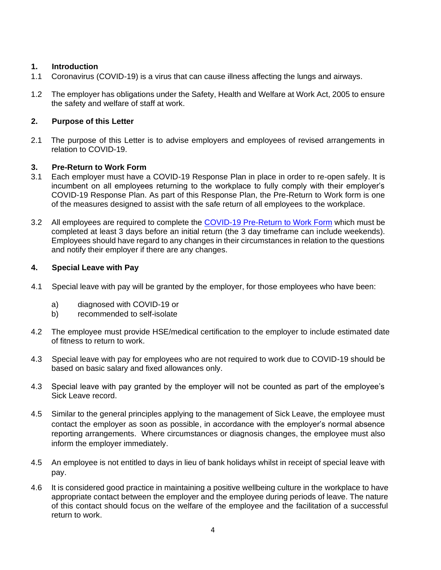### <span id="page-3-0"></span>**1. Introduction**

- 1.1 Coronavirus (COVID-19) is a virus that can cause illness affecting the lungs and airways.
- 1.2 The employer has obligations under the Safety, Health and Welfare at Work Act, 2005 to ensure the safety and welfare of staff at work.

### <span id="page-3-1"></span>**2. Purpose of this Letter**

2.1 The purpose of this Letter is to advise employers and employees of revised arrangements in relation to COVID-19.

### <span id="page-3-2"></span>**3. Pre-Return to Work Form**

- 3.1 Each employer must have a COVID-19 Response Plan in place in order to re-open safely. It is incumbent on all employees returning to the workplace to fully comply with their employer's COVID-19 Response Plan. As part of this Response Plan, the Pre-Return to Work form is one of the measures designed to assist with the safe return of all employees to the workplace.
- 3.2 All employees are required to complete the [COVID-19 Pre-Return to Work Form](https://www.hsa.ie/eng/topics/covid-19/return_to_work_safely_templates_checklists_and_posters/return_to_work_form.pdf) which must be completed at least 3 days before an initial return (the 3 day timeframe can include weekends). Employees should have regard to any changes in their circumstances in relation to the questions and notify their employer if there are any changes.

### <span id="page-3-3"></span>**4. Special Leave with Pay**

- 4.1 Special leave with pay will be granted by the employer, for those employees who have been:
	- a) diagnosed with COVID-19 or
	- b) recommended to self-isolate
- 4.2 The employee must provide HSE/medical certification to the employer to include estimated date of fitness to return to work.
- 4.3 Special leave with pay for employees who are not required to work due to COVID-19 should be based on basic salary and fixed allowances only.
- 4.3 Special leave with pay granted by the employer will not be counted as part of the employee's Sick Leave record.
- 4.5 Similar to the general principles applying to the management of Sick Leave, the employee must contact the employer as soon as possible, in accordance with the employer's normal absence reporting arrangements. Where circumstances or diagnosis changes, the employee must also inform the employer immediately.
- 4.5 An employee is not entitled to days in lieu of bank holidays whilst in receipt of special leave with pay.
- 4.6 It is considered good practice in maintaining a positive wellbeing culture in the workplace to have appropriate contact between the employer and the employee during periods of leave. The nature of this contact should focus on the welfare of the employee and the facilitation of a successful return to work.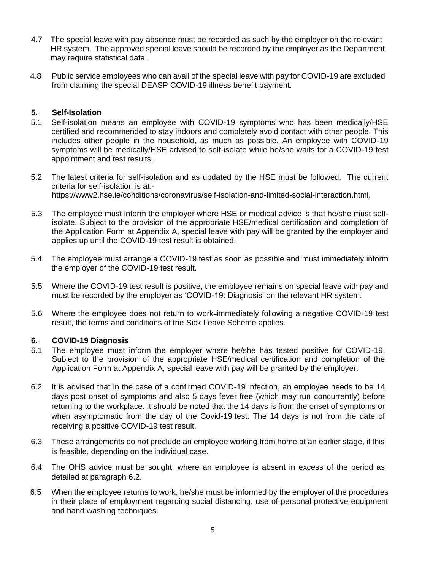- 4.7 The special leave with pay absence must be recorded as such by the employer on the relevant HR system. The approved special leave should be recorded by the employer as the Department may require statistical data.
- 4.8 Public service employees who can avail of the special leave with pay for COVID-19 are excluded from claiming the special DEASP COVID-19 illness benefit payment.

#### <span id="page-4-0"></span>**5. Self-Isolation**

- 5.1 Self-isolation means an employee with COVID-19 symptoms who has been medically/HSE certified and recommended to stay indoors and completely avoid contact with other people. This includes other people in the household, as much as possible. An employee with COVID-19 symptoms will be medically/HSE advised to self-isolate while he/she waits for a COVID-19 test appointment and test results.
- 5.2 The latest criteria for self-isolation and as updated by the HSE must be followed. The current criteria for self-isolation is at: [https://www2.hse.ie/conditions/coronavirus/self-isolation-and-limited-social-interaction.html.](https://www2.hse.ie/conditions/coronavirus/self-isolation-and-limited-social-interaction.html)
- 5.3 The employee must inform the employer where HSE or medical advice is that he/she must selfisolate. Subject to the provision of the appropriate HSE/medical certification and completion of the Application Form at Appendix A, special leave with pay will be granted by the employer and applies up until the COVID-19 test result is obtained.
- 5.4 The employee must arrange a COVID-19 test as soon as possible and must immediately inform the employer of the COVID-19 test result.
- 5.5 Where the COVID-19 test result is positive, the employee remains on special leave with pay and must be recorded by the employer as 'COVID-19: Diagnosis' on the relevant HR system.
- 5.6 Where the employee does not return to work-immediately following a negative COVID-19 test result, the terms and conditions of the Sick Leave Scheme applies.

#### **6. COVID-19 Diagnosis**

- 6.1 The employee must inform the employer where he/she has tested positive for COVID-19. Subject to the provision of the appropriate HSE/medical certification and completion of the Application Form at Appendix A, special leave with pay will be granted by the employer.
- 6.2 It is advised that in the case of a confirmed COVID-19 infection, an employee needs to be 14 days post onset of symptoms and also 5 days fever free (which may run concurrently) before returning to the workplace. It should be noted that the 14 days is from the onset of symptoms or when asymptomatic from the day of the Covid-19 test. The 14 days is not from the date of receiving a positive COVID-19 test result.
- 6.3 These arrangements do not preclude an employee working from home at an earlier stage, if this is feasible, depending on the individual case.
- 6.4 The OHS advice must be sought, where an employee is absent in excess of the period as detailed at paragraph 6.2.
- 6.5 When the employee returns to work, he/she must be informed by the employer of the procedures in their place of employment regarding social distancing, use of personal protective equipment and hand washing techniques.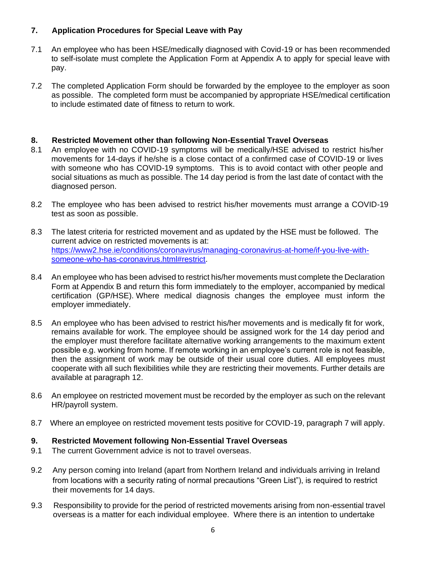### <span id="page-5-0"></span>**7. Application Procedures for Special Leave with Pay**

- 7.1 An employee who has been HSE/medically diagnosed with Covid-19 or has been recommended to self-isolate must complete the Application Form at Appendix A to apply for special leave with pay.
- 7.2 The completed Application Form should be forwarded by the employee to the employer as soon as possible. The completed form must be accompanied by appropriate HSE/medical certification to include estimated date of fitness to return to work.

### <span id="page-5-1"></span>**8. Restricted Movement other than following Non-Essential Travel Overseas**

- 8.1 An employee with no COVID-19 symptoms will be medically/HSE advised to restrict his/her movements for 14-days if he/she is a close contact of a confirmed case of COVID-19 or lives with someone who has COVID-19 symptoms. This is to avoid contact with other people and social situations as much as possible. The 14 day period is from the last date of contact with the diagnosed person.
- 8.2 The employee who has been advised to restrict his/her movements must arrange a COVID-19 test as soon as possible.
- 8.3 The latest criteria for restricted movement and as updated by the HSE must be followed. The current advice on restricted movements is at: [https://www2.hse.ie/conditions/coronavirus/managing-coronavirus-at-home/if-you-live-with](https://www2.hse.ie/conditions/coronavirus/managing-coronavirus-at-home/if-you-live-with-someone-who-has-coronavirus.html#restrict)[someone-who-has-coronavirus.html#restrict.](https://www2.hse.ie/conditions/coronavirus/managing-coronavirus-at-home/if-you-live-with-someone-who-has-coronavirus.html#restrict)
- 8.4 An employee who has been advised to restrict his/her movements must complete the Declaration Form at Appendix B and return this form immediately to the employer, accompanied by medical certification (GP/HSE). Where medical diagnosis changes the employee must inform the employer immediately.
- 8.5 An employee who has been advised to restrict his/her movements and is medically fit for work, remains available for work. The employee should be assigned work for the 14 day period and the employer must therefore facilitate alternative working arrangements to the maximum extent possible e.g. working from home. If remote working in an employee's current role is not feasible, then the assignment of work may be outside of their usual core duties. All employees must cooperate with all such flexibilities while they are restricting their movements. Further details are available at paragraph 12.
- 8.6 An employee on restricted movement must be recorded by the employer as such on the relevant HR/payroll system.
- <span id="page-5-2"></span>8.7 Where an employee on restricted movement tests positive for COVID-19, paragraph 7 will apply.

### **9. Restricted Movement following Non-Essential Travel Overseas**

- 9.1 The current Government advice is not to travel overseas.
- 9.2 Any person coming into Ireland (apart from Northern Ireland and individuals arriving in Ireland from locations with a security rating of normal precautions "Green List"), is required to restrict their movements for 14 days.
- 9.3 Responsibility to provide for the period of restricted movements arising from non-essential travel overseas is a matter for each individual employee. Where there is an intention to undertake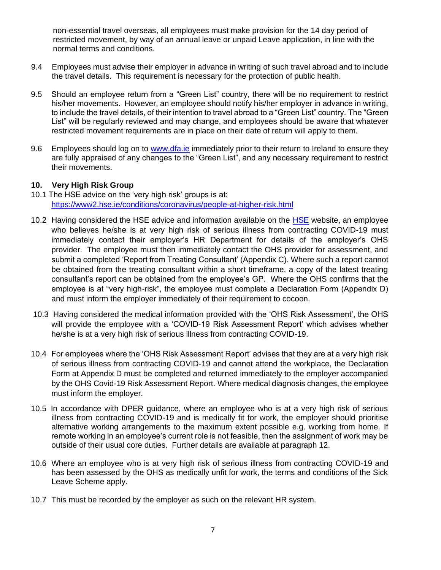non-essential travel overseas, all employees must make provision for the 14 day period of restricted movement, by way of an annual leave or unpaid Leave application, in line with the normal terms and conditions.

- 9.4 Employees must advise their employer in advance in writing of such travel abroad and to include the travel details. This requirement is necessary for the protection of public health.
- 9.5 Should an employee return from a "Green List" country, there will be no requirement to restrict his/her movements. However, an employee should notify his/her employer in advance in writing, to include the travel details, of their intention to travel abroad to a "Green List" country. The "Green List" will be regularly reviewed and may change, and employees should be aware that whatever restricted movement requirements are in place on their date of return will apply to them.
- 9.6 Employees should log on to [www.dfa.ie](http://www.dfa.ie/) immediately prior to their return to Ireland to ensure they are fully appraised of any changes to the "Green List", and any necessary requirement to restrict their movements.

### <span id="page-6-0"></span>**10. Very High Risk Group**

- 10.1 The HSE advice on the 'very high risk' groups is at: <https://www2.hse.ie/conditions/coronavirus/people-at-higher-risk.html>
- 10.2 Having considered the [HSE](https://nam10.safelinks.protection.outlook.com/?url=https%3A%2F%2Fwww2.hse.ie%2Fconditions%2Fcoronavirus%2Fpeople-at-higher-risk.html%23very-high-risk&data=02%7C01%7C%7Cde611a5c5de347adf14d08d83d2accd0%7C84df9e7fe9f640afb435aaaaaaaaaaaa%7C1%7C0%7C637326601316964697&sdata=h1yA6wgxM48zNkFK%2B6kCgOhQyzSOMPQ%2FEOF2xnZJa%2Bg%3D&reserved=0) advice and information available on the HSE website, an employee who believes he/she is at very high risk of serious illness from contracting COVID-19 must immediately contact their employer's HR Department for details of the employer's OHS provider. The employee must then immediately contact the OHS provider for assessment, and submit a completed 'Report from Treating Consultant' (Appendix C). Where such a report cannot be obtained from the treating consultant within a short timeframe, a copy of the latest treating consultant's report can be obtained from the employee's GP. Where the OHS confirms that the employee is at "very high-risk", the employee must complete a Declaration Form (Appendix D) and must inform the employer immediately of their requirement to cocoon.
- 10.3 Having considered the medical information provided with the 'OHS Risk Assessment', the OHS will provide the employee with a 'COVID-19 Risk Assessment Report' which advises whether he/she is at a very high risk of serious illness from contracting COVID-19.
- 10.4 For employees where the 'OHS Risk Assessment Report' advises that they are at a very high risk of serious illness from contracting COVID-19 and cannot attend the workplace, the Declaration Form at Appendix D must be completed and returned immediately to the employer accompanied by the OHS Covid-19 Risk Assessment Report. Where medical diagnosis changes, the employee must inform the employer.
- 10.5 In accordance with DPER guidance, where an employee who is at a very high risk of serious illness from contracting COVID-19 and is medically fit for work, the employer should prioritise alternative working arrangements to the maximum extent possible e.g. working from home. If remote working in an employee's current role is not feasible, then the assignment of work may be outside of their usual core duties. Further details are available at paragraph 12.
- 10.6 Where an employee who is at very high risk of serious illness from contracting COVID-19 and has been assessed by the OHS as medically unfit for work, the terms and conditions of the Sick Leave Scheme apply.
- 10.7 This must be recorded by the employer as such on the relevant HR system.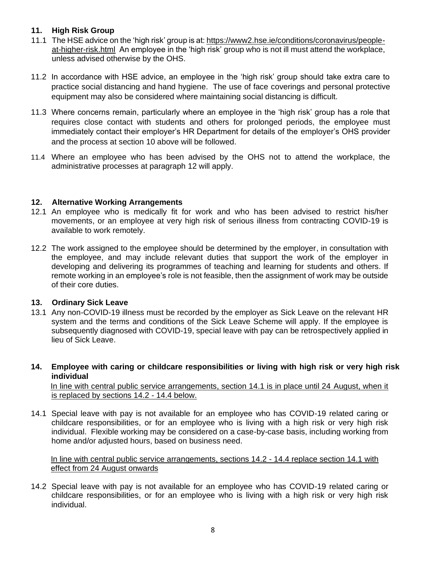### <span id="page-7-0"></span>**11. High Risk Group**

- 11.1 The HSE advice on the 'high risk' group is at: [https://www2.hse.ie/conditions/coronavirus/people](https://www2.hse.ie/conditions/coronavirus/people-at-higher-risk.html)[at-higher-risk.html](https://www2.hse.ie/conditions/coronavirus/people-at-higher-risk.html) An employee in the 'high risk' group who is not ill must attend the workplace, unless advised otherwise by the OHS.
- 11.2 In accordance with HSE advice, an employee in the 'high risk' group should take extra care to practice social distancing and hand hygiene. The use of face coverings and personal protective equipment may also be considered where maintaining social distancing is difficult.
- 11.3 Where concerns remain, particularly where an employee in the 'high risk' group has a role that requires close contact with students and others for prolonged periods, the employee must immediately contact their employer's HR Department for details of the employer's OHS provider and the process at section 10 above will be followed.
- 11.4 Where an employee who has been advised by the OHS not to attend the workplace, the administrative processes at paragraph 12 will apply.

### <span id="page-7-1"></span>**12. Alternative Working Arrangements**

- 12.1 An employee who is medically fit for work and who has been advised to restrict his/her movements, or an employee at very high risk of serious illness from contracting COVID-19 is available to work remotely.
- 12.2 The work assigned to the employee should be determined by the employer, in consultation with the employee, and may include relevant duties that support the work of the employer in developing and delivering its programmes of teaching and learning for students and others. If remote working in an employee's role is not feasible, then the assignment of work may be outside of their core duties.

### <span id="page-7-2"></span>**13. Ordinary Sick Leave**

- 13.1 Any non-COVID-19 illness must be recorded by the employer as Sick Leave on the relevant HR system and the terms and conditions of the Sick Leave Scheme will apply. If the employee is subsequently diagnosed with COVID-19, special leave with pay can be retrospectively applied in lieu of Sick Leave.
- <span id="page-7-3"></span>**14. Employee with caring or childcare responsibilities or living with high risk or very high risk individual**

 In line with central public service arrangements, section 14.1 is in place until 24 August, when it is replaced by sections 14.2 - 14.4 below.

14.1 Special leave with pay is not available for an employee who has COVID-19 related caring or childcare responsibilities, or for an employee who is living with a high risk or very high risk individual. Flexible working may be considered on a case-by-case basis, including working from home and/or adjusted hours, based on business need.

#### In line with central public service arrangements, sections 14.2 - 14.4 replace section 14.1 with effect from 24 August onwards

14.2 Special leave with pay is not available for an employee who has COVID-19 related caring or childcare responsibilities, or for an employee who is living with a high risk or very high risk individual.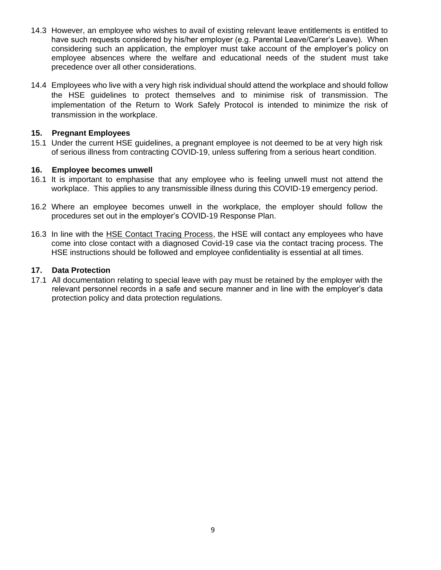- 14.3 However, an employee who wishes to avail of existing relevant leave entitlements is entitled to have such requests considered by his/her employer (e.g. Parental Leave/Carer's Leave). When considering such an application, the employer must take account of the employer's policy on employee absences where the welfare and educational needs of the student must take precedence over all other considerations.
- 14.4 Employees who live with a very high risk individual should attend the workplace and should follow the HSE guidelines to protect themselves and to minimise risk of transmission. The implementation of the Return to Work Safely Protocol is intended to minimize the risk of transmission in the workplace.

### <span id="page-8-0"></span>**15. Pregnant Employees**

15.1 Under the current HSE guidelines, a pregnant employee is not deemed to be at very high risk of serious illness from contracting COVID-19, unless suffering from a serious heart condition.

#### <span id="page-8-1"></span>**16. Employee becomes unwell**

- 16.1 It is important to emphasise that any employee who is feeling unwell must not attend the workplace. This applies to any transmissible illness during this COVID-19 emergency period.
- 16.2 Where an employee becomes unwell in the workplace, the employer should follow the procedures set out in the employer's COVID-19 Response Plan.
- 16.3 In line with the [HSE Contact Tracing Process,](https://www2.hse.ie/conditions/coronavirus/testing/contact-tracing.html) the HSE will contact any employees who have come into close contact with a diagnosed Covid-19 case via the contact tracing process. The HSE instructions should be followed and employee confidentiality is essential at all times.

#### <span id="page-8-2"></span>**17. Data Protection**

17.1 All documentation relating to special leave with pay must be retained by the employer with the relevant personnel records in a safe and secure manner and in line with the employer's data protection policy and data protection regulations.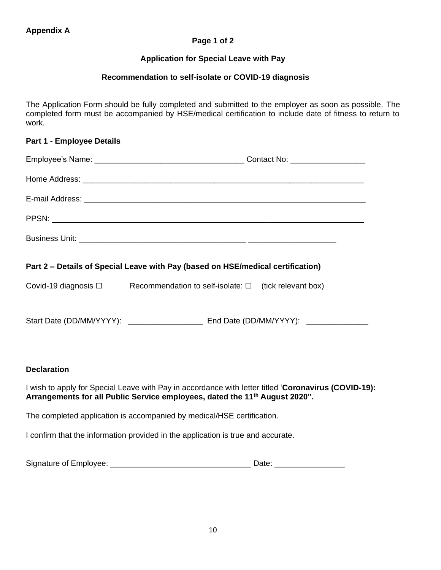### **Page 1 of 2**

### **Application for Special Leave with Pay**

### **Recommendation to self-isolate or COVID-19 diagnosis**

The Application Form should be fully completed and submitted to the employer as soon as possible. The completed form must be accompanied by HSE/medical certification to include date of fitness to return to work.

| <b>Part 1 - Employee Details</b> |  |  |
|----------------------------------|--|--|
|                                  |  |  |
|                                  |  |  |
|                                  |  |  |
|                                  |  |  |
|                                  |  |  |

### **Part 2 – Details of Special Leave with Pay (based on HSE/medical certification)**

Covid-19 diagnosis  $□$  Recommendation to self-isolate:  $□$  (tick relevant box)

Start Date (DD/MM/YYYY): \_\_\_\_\_\_\_\_\_\_\_\_\_\_\_\_\_ End Date (DD/MM/YYYY): \_\_\_\_\_\_\_\_\_\_\_\_\_\_

#### **Declaration**

I wish to apply for Special Leave with Pay in accordance with letter titled '**Coronavirus (COVID-19): Arrangements for all Public Service employees, dated the 11th August 2020".**

The completed application is accompanied by medical/HSE certification.

I confirm that the information provided in the application is true and accurate.

| Signature of Employee: | Jate |
|------------------------|------|
|                        |      |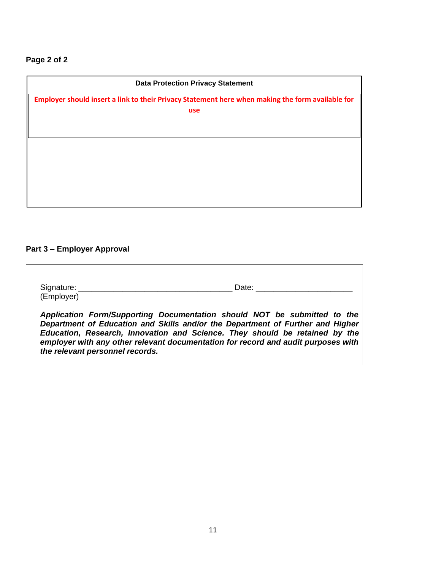# **Page 2 of 2**

| <b>Data Protection Privacy Statement</b><br>Employer should insert a link to their Privacy Statement here when making the form available for<br>use |  |
|-----------------------------------------------------------------------------------------------------------------------------------------------------|--|
|                                                                                                                                                     |  |
|                                                                                                                                                     |  |
|                                                                                                                                                     |  |
|                                                                                                                                                     |  |
|                                                                                                                                                     |  |

# **Part 3 – Employer Approval**

| Signature:                      | Date: Date:                                                                                                                                                                                                                                                                                                                    |
|---------------------------------|--------------------------------------------------------------------------------------------------------------------------------------------------------------------------------------------------------------------------------------------------------------------------------------------------------------------------------|
| (Employer)                      |                                                                                                                                                                                                                                                                                                                                |
| the relevant personnel records. | Application Form/Supporting Documentation should NOT be submitted to the<br>Department of Education and Skills and/or the Department of Further and Higher<br>Education, Research, Innovation and Science. They should be retained by the<br>employer with any other relevant documentation for record and audit purposes with |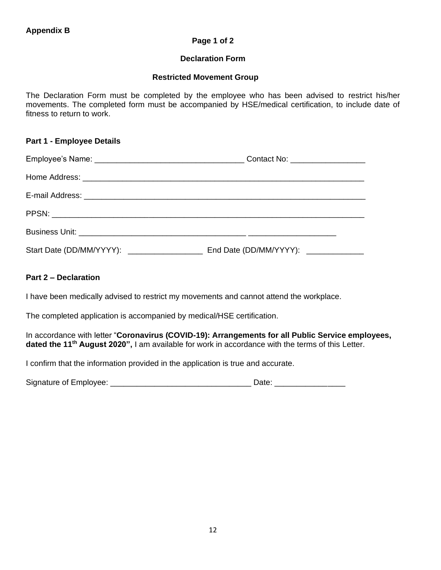#### **Page 1 of 2**

#### **Declaration Form**

#### **Restricted Movement Group**

The Declaration Form must be completed by the employee who has been advised to restrict his/her movements. The completed form must be accompanied by HSE/medical certification, to include date of fitness to return to work.

#### **Part 1 - Employee Details**

| Contact No: __________________ |
|--------------------------------|
|                                |
|                                |
|                                |
|                                |
|                                |

### **Part 2 – Declaration**

I have been medically advised to restrict my movements and cannot attend the workplace.

The completed application is accompanied by medical/HSE certification.

In accordance with letter "**Coronavirus (COVID-19): Arrangements for all Public Service employees, dated the 11th August 2020",** I am available for work in accordance with the terms of this Letter.

I confirm that the information provided in the application is true and accurate.

| Signature of Employee: | Date: |
|------------------------|-------|
|                        |       |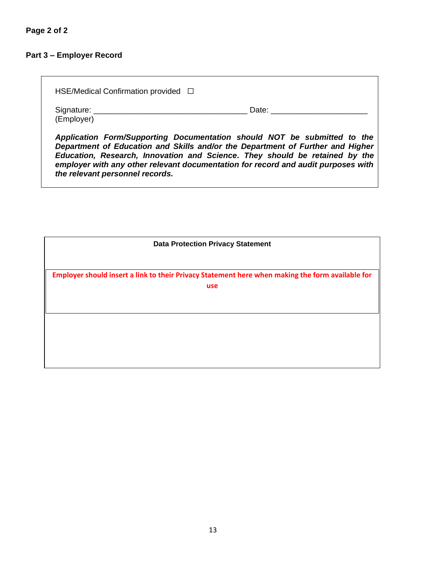# **Part 3 – Employer Record**

*the relevant personnel records.* 

| HSE/Medical Confirmation provided $\Box$                                                                                                                                                                                                  |                             |
|-------------------------------------------------------------------------------------------------------------------------------------------------------------------------------------------------------------------------------------------|-----------------------------|
| (Employer)                                                                                                                                                                                                                                | Date: <u>______________</u> |
| Application Form/Supporting Documentation should NOT be submitted to the<br>Department of Education and Skills and/or the Department of Further and Higher<br>Education, Research, Innovation and Science. They should be retained by the |                             |

*employer with any other relevant documentation for record and audit purposes with* 

| <b>Data Protection Privacy Statement</b>                                                         |  |
|--------------------------------------------------------------------------------------------------|--|
| Employer should insert a link to their Privacy Statement here when making the form available for |  |
| use                                                                                              |  |
|                                                                                                  |  |
|                                                                                                  |  |
|                                                                                                  |  |
|                                                                                                  |  |
|                                                                                                  |  |
|                                                                                                  |  |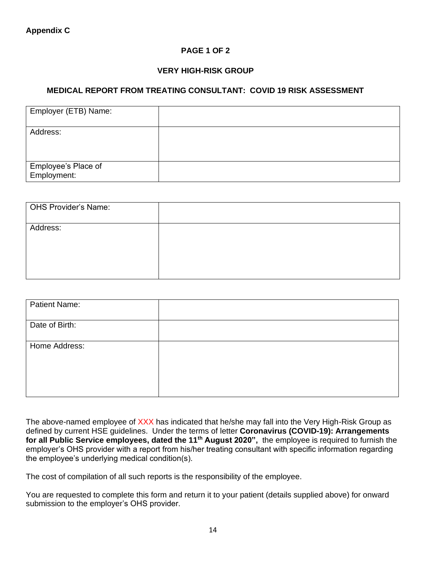### **PAGE 1 OF 2**

### **VERY HIGH-RISK GROUP**

### **MEDICAL REPORT FROM TREATING CONSULTANT: COVID 19 RISK ASSESSMENT**

| Employer (ETB) Name:               |  |
|------------------------------------|--|
| Address:                           |  |
| Employee's Place of<br>Employment: |  |

| <b>OHS Provider's Name:</b> |  |
|-----------------------------|--|
| Address:                    |  |

| <b>Patient Name:</b> |  |
|----------------------|--|
| Date of Birth:       |  |
| Home Address:        |  |

The above-named employee of XXX has indicated that he/she may fall into the Very High-Risk Group as defined by current HSE guidelines. Under the terms of letter **Coronavirus (COVID-19): Arrangements for all Public Service employees, dated the 11th August 2020",** the employee is required to furnish the employer's OHS provider with a report from his/her treating consultant with specific information regarding the employee's underlying medical condition(s).

The cost of compilation of all such reports is the responsibility of the employee.

You are requested to complete this form and return it to your patient (details supplied above) for onward submission to the employer's OHS provider.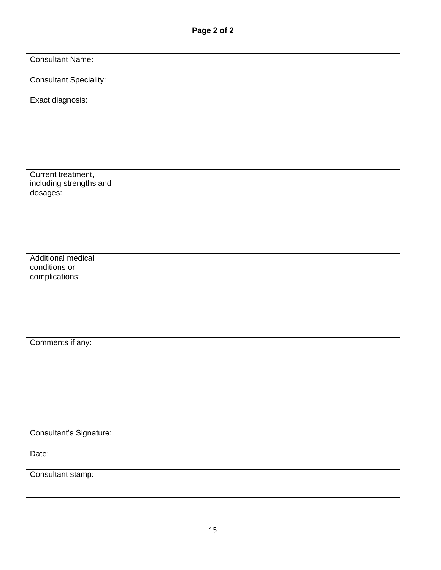| <b>Consultant Name:</b>                                      |  |
|--------------------------------------------------------------|--|
| <b>Consultant Speciality:</b>                                |  |
| Exact diagnosis:                                             |  |
| Current treatment,<br>including strengths and<br>dosages:    |  |
| <b>Additional medical</b><br>conditions or<br>complications: |  |
| Comments if any:                                             |  |

| <b>Consultant's Signature:</b> |  |
|--------------------------------|--|
| Date:                          |  |
| Consultant stamp:              |  |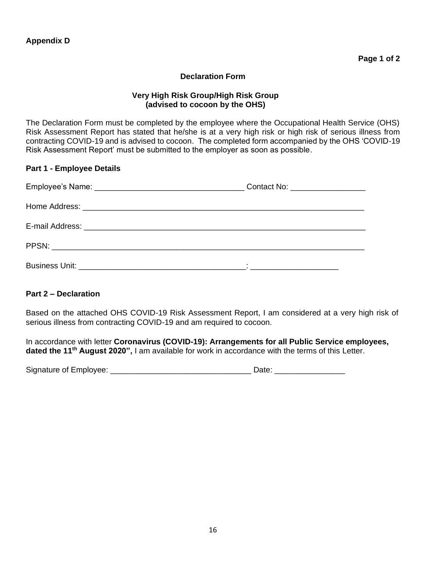#### **Declaration Form**

#### **Very High Risk Group/High Risk Group (advised to cocoon by the OHS)**

The Declaration Form must be completed by the employee where the Occupational Health Service (OHS) Risk Assessment Report has stated that he/she is at a very high risk or high risk of serious illness from contracting COVID-19 and is advised to cocoon. The completed form accompanied by the OHS 'COVID-19 Risk Assessment Report' must be submitted to the employer as soon as possible.

#### **Part 1 - Employee Details**

| Contact No: ___________________ |
|---------------------------------|
|                                 |
|                                 |
|                                 |
|                                 |

#### **Part 2 – Declaration**

Based on the attached OHS COVID-19 Risk Assessment Report, I am considered at a very high risk of serious illness from contracting COVID-19 and am required to cocoon.

In accordance with letter **Coronavirus (COVID-19): Arrangements for all Public Service employees, dated the 11th August 2020",** I am available for work in accordance with the terms of this Letter.

| Signature of Employee: | Date |
|------------------------|------|
|                        |      |